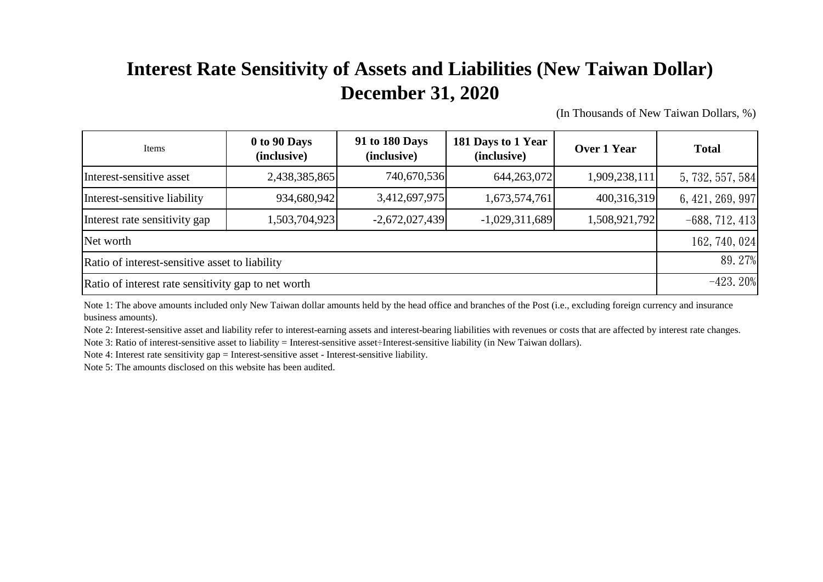## **Interest Rate Sensitivity of Assets and Liabilities (New Taiwan Dollar) December 31, 2020**

(In Thousands of New Taiwan Dollars, %)

| Items                                               | 0 to 90 Days<br>(inclusive) | 91 to 180 Days<br>(inclusive) | 181 Days to 1 Year<br>(inclusive) | <b>Over 1 Year</b> | <b>Total</b>     |
|-----------------------------------------------------|-----------------------------|-------------------------------|-----------------------------------|--------------------|------------------|
| Interest-sensitive asset                            | 2,438,385,865               | 740,670,536                   | 644,263,072                       | 1,909,238,111      | 5, 732, 557, 584 |
| Interest-sensitive liability                        | 934,680,942                 | 3,412,697,975                 | 1,673,574,761                     | 400,316,319        | 6, 421, 269, 997 |
| Interest rate sensitivity gap                       | 1,503,704,923               | $-2,672,027,439$              | $-1,029,311,689$                  | 1,508,921,792      | $-688, 712, 413$ |
| Net worth                                           |                             |                               |                                   |                    |                  |
| Ratio of interest-sensitive asset to liability      |                             |                               |                                   |                    |                  |
| Ratio of interest rate sensitivity gap to net worth |                             |                               |                                   |                    |                  |

Note 1: The above amounts included only New Taiwan dollar amounts held by the head office and branches of the Post (i.e., excluding foreign currency and insurance business amounts).

Note 2: Interest-sensitive asset and liability refer to interest-earning assets and interest-bearing liabilities with revenues or costs that are affected by interest rate changes. Note 3: Ratio of interest-sensitive asset to liability = Interest-sensitive asset÷Interest-sensitive liability (in New Taiwan dollars).

Note 4: Interest rate sensitivity gap = Interest-sensitive asset - Interest-sensitive liability.

Note 5: The amounts disclosed on this website has been audited.